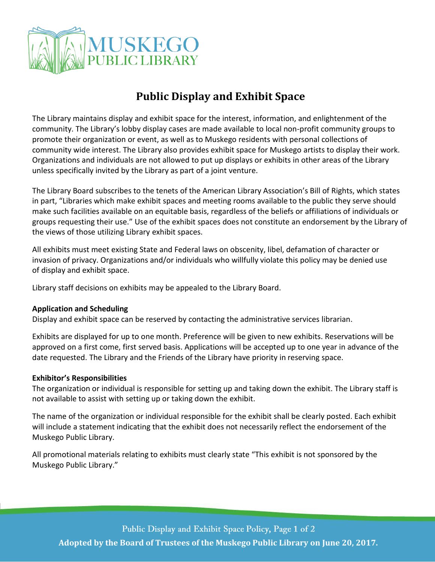

## **Public Display and Exhibit Space**

The Library maintains display and exhibit space for the interest, information, and enlightenment of the community. The Library's lobby display cases are made available to local non-profit community groups to promote their organization or event, as well as to Muskego residents with personal collections of community wide interest. The Library also provides exhibit space for Muskego artists to display their work. Organizations and individuals are not allowed to put up displays or exhibits in other areas of the Library unless specifically invited by the Library as part of a joint venture.

The Library Board subscribes to the tenets of the American Library Association's Bill of Rights, which states in part, "Libraries which make exhibit spaces and meeting rooms available to the public they serve should make such facilities available on an equitable basis, regardless of the beliefs or affiliations of individuals or groups requesting their use." Use of the exhibit spaces does not constitute an endorsement by the Library of the views of those utilizing Library exhibit spaces.

All exhibits must meet existing State and Federal laws on obscenity, libel, defamation of character or invasion of privacy. Organizations and/or individuals who willfully violate this policy may be denied use of display and exhibit space.

Library staff decisions on exhibits may be appealed to the Library Board.

## **Application and Scheduling**

Display and exhibit space can be reserved by contacting the administrative services librarian.

Exhibits are displayed for up to one month. Preference will be given to new exhibits. Reservations will be approved on a first come, first served basis. Applications will be accepted up to one year in advance of the date requested. The Library and the Friends of the Library have priority in reserving space.

## **Exhibitor's Responsibilities**

The organization or individual is responsible for setting up and taking down the exhibit. The Library staff is not available to assist with setting up or taking down the exhibit.

The name of the organization or individual responsible for the exhibit shall be clearly posted. Each exhibit will include a statement indicating that the exhibit does not necessarily reflect the endorsement of the Muskego Public Library.

All promotional materials relating to exhibits must clearly state "This exhibit is not sponsored by the Muskego Public Library."

Public Display and Exhibit Space Policy, Page 1 of 2 **Adopted by the Board of Trustees of the Muskego Public Library on June 20, 2017.**